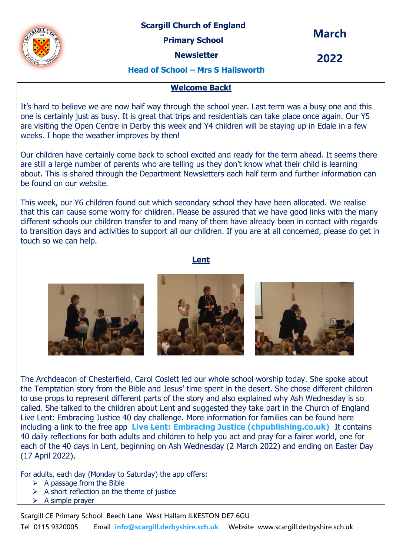

 **Primary School**

**March**

**Newsletter**

**2022**

## **Head of School – Mrs S Hallsworth**

### **Welcome Back!**

It's hard to believe we are now half way through the school year. Last term was a busy one and this one is certainly just as busy. It is great that trips and residentials can take place once again. Our Y5 are visiting the Open Centre in Derby this week and Y4 children will be staying up in Edale in a few weeks. I hope the weather improves by then!

Our children have certainly come back to school excited and ready for the term ahead. It seems there are still a large number of parents who are telling us they don't know what their child is learning about. This is shared through the Department Newsletters each half term and further information can be found on our website.

This week, our Y6 children found out which secondary school they have been allocated. We realise that this can cause some worry for children. Please be assured that we have good links with the many different schools our children transfer to and many of them have already been in contact with regards to transition days and activities to support all our children. If you are at all concerned, please do get in touch so we can help.

#### **Lent**



The Archdeacon of Chesterfield, Carol Coslett led our whole school worship today. She spoke about the Temptation story from the Bible and Jesus' time spent in the desert. She chose different children to use props to represent different parts of the story and also explained why Ash Wednesday is so called. She talked to the children about Lent and suggested they take part in the Church of England Live Lent: Embracing Justice 40 day challenge. More information for families can be found here including a link to the free app **[Live Lent: Embracing Justice \(chpublishing.co.uk\)](https://www.chpublishing.co.uk/features/live-lent)** It contains 40 daily reflections for both adults and children to help you act and pray for a fairer world, one for each of the 40 days in Lent, beginning on Ash Wednesday (2 March 2022) and ending on Easter Day (17 April 2022).

For adults, each day (Monday to Saturday) the app offers:

- $\triangleright$  A passage from the Bible
- $\triangleright$  A short reflection on the theme of justice
- $\triangleright$  A simple prayer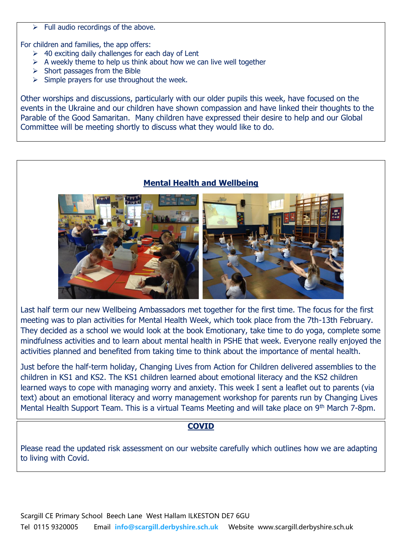$\triangleright$  Full audio recordings of the above.

For children and families, the app offers:

- $\geq$  40 exciting daily challenges for each day of Lent
- $\triangleright$  A weekly theme to help us think about how we can live well together
- $\triangleright$  Short passages from the Bible
- $\triangleright$  Simple prayers for use throughout the week.

Other worships and discussions, particularly with our older pupils this week, have focused on the events in the Ukraine and our children have shown compassion and have linked their thoughts to the Parable of the Good Samaritan. Many children have expressed their desire to help and our Global Committee will be meeting shortly to discuss what they would like to do.

#### **Mental Health and Wellbeing**



Last half term our new Wellbeing Ambassadors met together for the first time. The focus for the first meeting was to plan activities for Mental Health Week, which took place from the 7th-13th February. They decided as a school we would look at the book Emotionary, take time to do yoga, complete some mindfulness activities and to learn about mental health in PSHE that week. Everyone really enjoyed the activities planned and benefited from taking time to think about the importance of mental health.

Just before the half-term holiday, Changing Lives from Action for Children delivered assemblies to the children in KS1 and KS2. The KS1 children learned about emotional literacy and the KS2 children learned ways to cope with managing worry and anxiety. This week I sent a leaflet out to parents (via text) about an emotional literacy and worry management workshop for parents run by Changing Lives Mental Health Support Team. This is a virtual Teams Meeting and will take place on 9<sup>th</sup> March 7-8pm.

### **COVID**

Please read the updated risk assessment on our website carefully which outlines how we are adapting to living with Covid.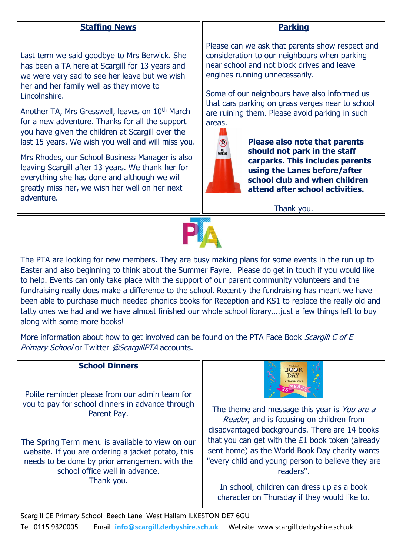### **Staffing News**

Last term we said goodbye to Mrs Berwick. She has been a TA here at Scargill for 13 years and we were very sad to see her leave but we wish her and her family well as they move to Lincolnshire.

Another TA, Mrs Gresswell, leaves on 10<sup>th</sup> March for a new adventure. Thanks for all the support you have given the children at Scargill over the last 15 years. We wish you well and will miss you.

Mrs Rhodes, our School Business Manager is also leaving Scargill after 13 years. We thank her for everything she has done and although we will greatly miss her, we wish her well on her next adventure.

#### **Parking**

Please can we ask that parents show respect and consideration to our neighbours when parking near school and not block drives and leave engines running unnecessarily.

Some of our neighbours have also informed us that cars parking on grass verges near to school are ruining them. Please avoid parking in such areas.



**Please also note that parents should not park in the staff carparks. This includes parents using the Lanes before/after school club and when children attend after school activities.**

Thank you.



The PTA are looking for new members. They are busy making plans for some events in the run up to Easter and also beginning to think about the Summer Fayre. Please do get in touch if you would like to help. Events can only take place with the support of our parent community volunteers and the fundraising really does make a difference to the school. Recently the fundraising has meant we have been able to purchase much needed phonics books for Reception and KS1 to replace the really old and tatty ones we had and we have almost finished our whole school library….just a few things left to buy along with some more books!

More information about how to get involved can be found on the PTA Face Book Scargill C of E Primary School or Twitter @ScargillPTA accounts.

## **School Dinners**

Polite reminder please from our admin team for you to pay for school dinners in advance through Parent Pay.

The Spring Term menu is available to view on our website. If you are ordering a jacket potato, this needs to be done by prior arrangement with the school office well in advance. Thank you.



The theme and message this year is You are a Reader, and is focusing on children from disadvantaged backgrounds. There are 14 books that you can get with the £1 book token (already sent home) as the World Book Day charity wants "every child and young person to believe they are readers".

In school, children can dress up as a book character on Thursday if they would like to.